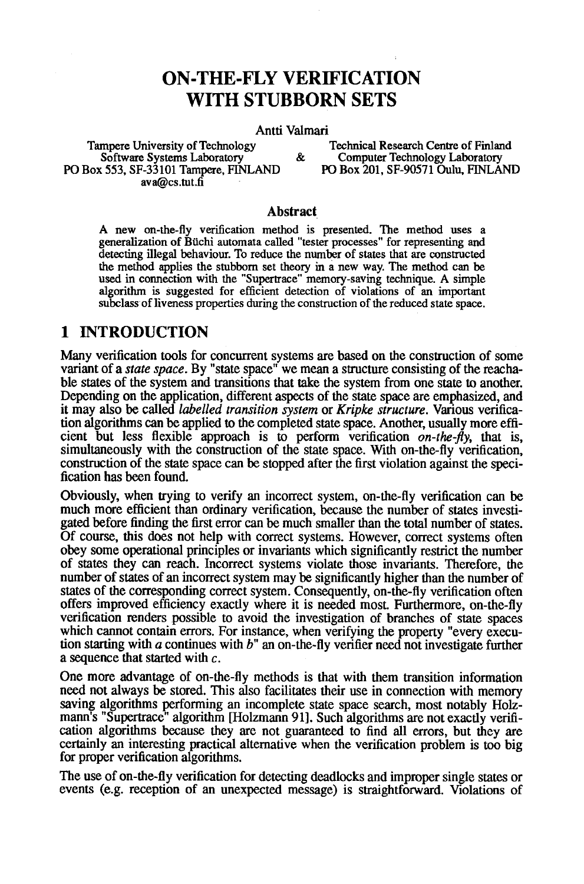# **ON-THE-FLY VERIFICATION WITH STUBBORN SETS**

#### Antti Valmari

PO Box 553, SF-33101 Tampere, FINLAND ava@cs.tut.fi

Tampere University of Technology<br>
Software Systems Laboratory<br>  $\&$  Computer Technology Laboratory<br>
Technology Laboratory<br>  $\&$  Computer Technology Laboratory Computer Technology Laboratory<br>PO Box 201, SF-90571 Oulu, FINLAND

#### **Abstract**

A new on-the-fly verification method is presented. The method uses a generalization of Büchi automata called "tester processes" for representing and detecting illegal behaviour. To reduce the number of states that are constructed the method applies the stubborn set theory in a new way. The method can be used in connection with the "Supertrace" memory-saving technique. A simple algorithm is Suggested for efficient detection of violations of an important subclass of liveness properties during the construction of the reduced state space.

## 1 INTRODUCTION

Many verification tools for concurrent systems are based on the construction of some variant of a *state space.* By "state space" we mean a structure consisting of the reachable states of the system and transitions that take the system from one state to another. Depending on the application, different aspects of the state space are emphasized, and it may also be called *labelled transition system* or *Kripke structure.* Various verification algorithms can be applied to the completed state space. Another, usually more efficient but less flexible approach is to perform verification *on-the-fly,* that is, simultaneously with the construction of the state space. With on-the-fly verification, construction of the state space can be stopped after the first violation against the specification has been found.

Obviously, when trying to verify an incorrect system, on-the-fly verification can be much more efficient than ordinary verification, because the number of states investigated before finding the first error can be much smaller than the total number of states. Of course, this does not help with correct systems. However, correct systems often obey some operational principles or invariants which significantly restrict the number of states they can reach. Incorrect systems violate those invariants. Therefore, the number of states of an incorrect system may be significantly higher than the number of states of the corresponding correct system. Consequently, on-the-fly verification often offers improved efficiency exactly where it is needed most. Furthermore, on-the-fly verification renders possible to avoid the investigation of branches of state spaces which cannot contain errors. For instance, when verifying the property "every execution starting with a continues with  $b<sup>n</sup>$  an on-the-fly verifier need not investigate further a sequence that started with c.

One more advantage of on-the-fly methods is that with them transition information need not always be stored. This also facilitates their use in connection with memory saving algorithms performing an incomplete state space search, most notably Holzmann's "Supertrace" algorithm [Holzmann 91]. Such algorithms are not exactly verification algorithms because they are not guaranteed to find all errors, but they are certainly an interesting practical alternative when the verification problem is too big for proper verification algorithms.

The use of on-the-fly verification for detecting deadlocks and improper single states or events (e.g. reception of an unexpected message) is straightforward. Violations of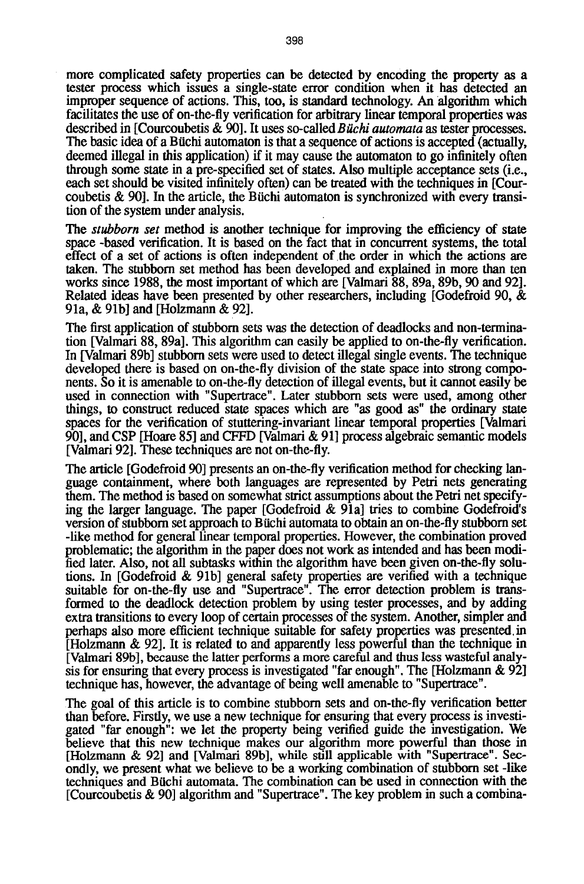more complicated safety properties can be detected by encoding the property as a tester process which issues a single-state error condition when it has detected an improper sequence of actions. This, too, is standard technology. An algorithm which facilitates the use of on-the-fly verification for arbitrary linear temporal properties was described in [Courcoubetis & 90]. It uses so-called *Biichi automata* as tester processes. The basic idea of a Büchi automaton is that a sequence of actions is accepted (actually, deemed illegal in this application) if it may cause the automaton to go infinitely often through some state in a pre-specified set of states. Also multiple acceptance sets (i.e., each set should be visited infinitely often) can be treated with the techniques in [Courcoubetis  $\&$  90]. In the article, the Büchi automaton is synchronized with every transition of the system under analysis.

*The stubborn set* method is another technique for improving the efficiency of state space -based verification. It is based on the fact that in concurrent systems, the total effect of a set of actions is often independent of the order in which the actions are taken. The stubborn set method has been developed and explained in more than ten works since 1988, the most important of which are [Valmari 88, 89a, 89b, 90 and 92]. Related ideas have been presented by other researchers, including [Godefroid 90, & 91a, & 91b] and [Holzmann & 92].

The first application of stubborn sets was the detection of deadlocks and non-termination [Valmari 88, 89a]. This algorithm can easily be applied to on-the-fly verification. In [Valmari 89b] stubborn sets were used to detect illegal single events. The technique developed there is based on on-the-fly division of the state space into strong components. So it is amenable to on-the-fly detection of illegal events, but it cannot easily be used in connection with "Supertrace". Later stubborn sets were used, among other things, to construct reduced state spaces which are "as good as" the ordinary state spaces for the verification of stuttering-invariant linear temporal properties [Valmari 90], and CSP [Hoare 85] and CFFD [Valmari & 91] process algebraic semantic models [Valmari 92]. These techniques are not on-the-fly.

The article [Godefroid 90] presents an on-the-fly verification method for checking language containment, where both languages are represented by Petri nets generating them. The method is based on somewhat strict assumptions about the Petri net specifying the larger language. The paper [Godefroid & 91a] tries to combine Godefroid's version of stubborn set approach to Buchi automata to obtain an on-the-fly stubborn set -like method for general linear temporal properties. However, the combination proved problematic; the algorithm in the paper does not work as intended and has been modified later. Also, not all subtasks within the algorithm have been given on-the-fly solutions. In [Godefroid & 91b] general safety properties are verified with a technique suitable for on-the-fly use and "Supertrace". The error detection problem is transformed to the deadlock detection problem by using tester processes, and by adding extra transitions to every loop of certain processes of the system. Another, simpler and perhaps also more efficient technique suitable for safety properties was presented, in [Holzmann & 92]. It is related to and apparently less powerful than the technique in [Valmari 89b], because the latter performs a more careful and thus less wasteful analysis for ensuring that every process is investigated "far enough". The [Holzmann & 92] technique has, however, the advantage of being well amenable to "Supertraee".

The goal of this article is to combine stubborn sets and on-the-fly verification better than before. Firstly, we use a new technique for ensuring that every process is investigated "far enough": we let the property being verified guide the investigation. We believe that this new technique makes our algorithm more powerful than those in [Holzmann & 92] and [Valmari 89b], while still applicable with "Supertrace". Secondly, we present what we believe to be a working combination of stubborn set -like techniques and Bfichi automata. The combination can be used in connection with the [Courcoubetis & 90] algorithm and "Supertrace". The key problem in such a combina-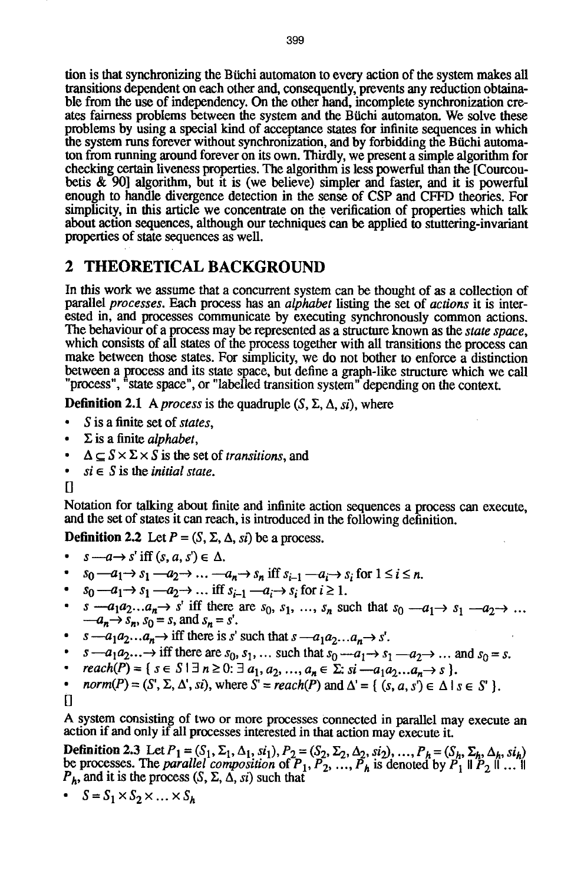tion is that synchronizing the Biichi automaton to every action of the system makes all transitions dependent on each other and, consequently, prevents any reduction obtainable from the use of independency. On the other hand, incomplete synchronization creates fairness problems between the system and the Biichi automaton. We solve these problems by using a special kind of acceptance states for infinite sequences in which the system runs forever without synchronization, and by forbidding the Büchi automaton from running around forever on its own. Thirdly, we present a simple algorithm for checking certain liveness properties. The algorithm is less powerful than the [Courcoubetis & 90] algorithm, but it is (we believe) simpler and faster, and it is powerful enough to handle divergence detection in the sense of CSP and CFFD theories. For simpficity, in this article we concentrate on the verification of properties which talk about action sequences, although our techniques can be applied to stuttering-invariant properties of state sequences as well.

# 2 THEORETICAL BACKGROUND

In this work we assume that a concurrent system can be thought of as a collection of parallel *processes.* Each process has an *alphabet* listing the set of *actions* it is interested in, and processes communicate by executing synchronously common actions. The behaviour of a process may be represented as a structure known as the *state space,*  which consists of all states of the process together with all transitions the process can make between those states. For simplicity, we do not bother to enforce a distinction between a process and its state space, but define a graph-like structure which we call "process", "state space", or "labelled transition system" depending on the context.

**Definition 2.1** A *process* is the quadruple  $(S, \Sigma, \Delta, \textit{si})$ , where

- 9 S is a finite set of *states,*
- $\cdot$   $\Sigma$  is a finite *alphabet*,
- $\Delta \subset S \times \Sigma \times S$  is the set of *transitions*, and
- $\bullet$   $si \in S$  is the *initial state*.
- $\Box$

Notation for talking about finite and infinite action sequences a process can execute, and the set of states it can reach, is introduced in the following definition.

**Definition 2.2** Let  $P = (S, \Sigma, \Delta, si)$  be a process.

- $s \rightarrow s'$  iff  $(s, a, s') \in \Delta$ .
- $s_0$  --- $a_1 \rightarrow s_1$  --- $a_2 \rightarrow \ldots$  --- $a_n \rightarrow s_n$  iff  $s_{i-1}$  --- $a_i \rightarrow s_i$  for  $1 \le i \le n$ .
- $s_0$  -- $a_1 \rightarrow s_1$  -- $a_2 \rightarrow \dots$  iff  $s_{i-1}$  -- $a_i \rightarrow s_i$  for  $i \ge 1$ .
- $s = a_1 a_2 \ldots a_n \rightarrow s'$  iff there are  $s_0, s_1, \ldots, s_n$  such that  $s_0 \rightarrow s_1 \rightarrow s_1 \rightarrow s_2 \rightarrow \ldots$  $-a_n \rightarrow s_n$ ,  $s_0 = s$ , and  $s_n = s'$ .
- $s a_1 a_2 \dots a_n \rightarrow \text{iff}$  there is s' such that  $s a_1 a_2 \dots a_n \rightarrow s'.$
- $s \rightarrow a_1 a_2 \dots \rightarrow \text{iff}$  there are  $s_0, s_1, \dots$  such that  $s_0 \rightarrow a_1 \rightarrow s_1 \rightarrow a_2 \rightarrow \dots$  and  $s_0 = s$ .
- $reach(P) = \{ s \in S \mid \exists n \geq 0: \exists a_1, a_2, ..., a_n \in \Sigma: si-a_1a_2...a_n \rightarrow s \}.$ *g*
- $norm(P) = (S', \Sigma, \Delta', s_i)$ , where  $S' = reach(P)$  and  $\Delta' = \{ (s, a, s') \in \Delta \mid s \in S' \}$ .  $\bullet$
- $\overline{\Pi}$

A system consisting of two or more processes connected in parallel may execute an action if and only if all processes interested in that action may execute it.

Definition 2.3 Let  $P_1 = (S_1, \Sigma_1, \Delta_1, si_1), P_2 = (S_2, \Sigma_2, \Delta_2, si_2), ..., P_h = (S_h, \Sigma_h, \Delta_h, si_h)$ be processes. The *parallel composition* of  $P_1, P_2, ..., P_h$  is denoted by  $P_1 \parallel P_2 \parallel ... \parallel$  $P_h$ , and it is the process  $(S, \Sigma, \Delta, \overline{si})$  such that

• 
$$
S = S_1 \times S_2 \times \ldots \times S_h
$$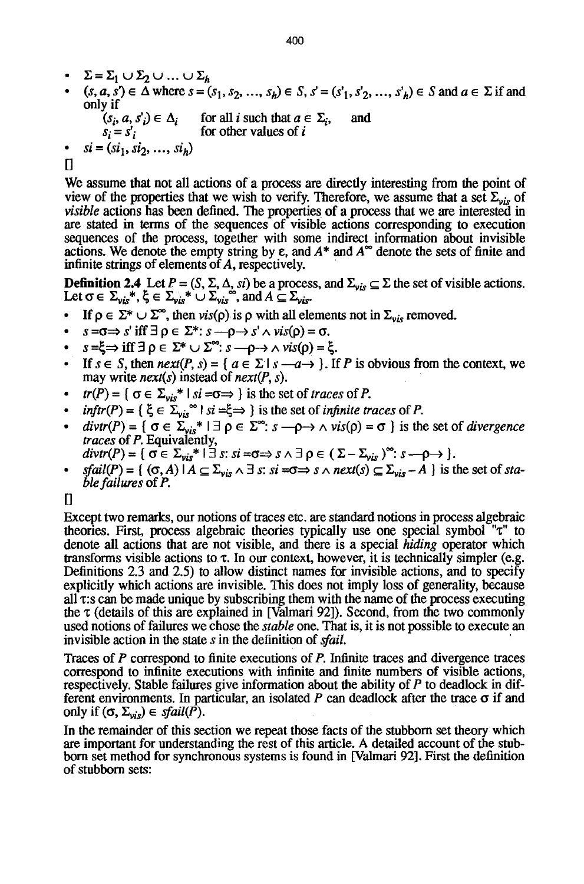- $\Sigma = \Sigma_1 \cup \Sigma_2 \cup ... \cup \Sigma_h$ <br>•  $(s \cap s') \in \Lambda$  where  $s = \ell$
- $(s, a, s') \in \overline{\Delta}$  where  $s = (s_1, s_2, ..., s_h) \in S$ ,  $s' = (s'_1, s'_2, ..., s'_h) \in S$  and  $a \in \Sigma$  if and only if  $(s_i, a, s'_i) \in \Delta_i$  for all i such that  $a \in \Sigma_i$ , and
	- $s_i = s'_i$  for other values of i
- $si = (si_1, si_2, ..., si_h)$

 $\mathsf{I}$ 

We assume that not all actions of a process are directly interesting from the point of view of the properties that we wish to verify. Therefore, we assume that a set  $\Sigma_{\nu is}$  of *visible* actions has been defined. The properties of a process that we are interested in are stated in terms of the sequences of visible actions corresponding to execution sequences of the process, together with some indirect information about invisible actions. We denote the empty string by  $\varepsilon$ , and  $A^*$  and  $A^{\infty}$  denote the sets of finite and infinite strings of elements of A, respectively.

**Definition 2.4** Let  $P = (S, \Sigma, \Delta, st)$  be a process, and  $\Sigma_{vis} \subseteq \Sigma$  the set of visible actions. Let  $\sigma \in \Sigma_{\nu i s}^*$ ,  $\xi \in \Sigma_{\nu i s}^* \cup \Sigma_{\nu i s}$ , and  $A \subseteq \Sigma_{\nu i s}$ .

- If  $\rho \in \Sigma^* \cup \Sigma^{\infty}$ , then vis( $\rho$ ) is  $\rho$  with all elements not in  $\Sigma_{vis}$  removed.
- $s = \sigma \Rightarrow s'$  iff  $\exists \rho \in \Sigma^* : s \longrightarrow \rho \rightarrow s' \land vis(\rho) = \sigma$ .
- $s = \xi \Rightarrow \text{ iff } \exists \rho \in \Sigma^* \cup \Sigma^{\infty}: s \longrightarrow \rightarrow \land vis(\rho) = \xi.$
- If  $s \in S$ , then  $next(P, s) = \{ a \in \Sigma \mid s \rightarrow a \rightarrow \}$ . If P is obvious from the context, we may write *next(s)* instead of *next(P, s).*
- $tr(P) = \{ \sigma \in \Sigma_{vis}^* \mid si = \sigma \Rightarrow \}$  is the set of *traces* of *P*.
- *9 inftr(P)* = {  $\xi \in \Sigma_{vis}$   $\rightarrow$  *I si* =  $\xi \Rightarrow$  } is the set of *infinite traces* of *P*.
- $\bullet$  divtr(P) = {  $\sigma \in \Sigma_{vis}^*$  1  $\exists \rho \in \Sigma^*$ :  $s \rightarrow \rho \rightarrow \land vis(\rho) = \sigma$  } is the set of *divergence traces* of P. Equivalently,
- $divtr(P) = \{ \sigma \in \Sigma_{vis}^* \mid \exists s: si = \sigma \Rightarrow s \land \exists \rho \in (\Sigma \Sigma_{vis})^{\infty}: s \longrightarrow \}$ .
- $sfail(P) = \{ (\sigma, A) \mid A \subseteq \Sigma_{vis} \land \exists s: si = \sigma \Rightarrow s \land next(s) \subseteq \Sigma_{vis} A \}$  is the set of *stable failures* of P.

 $\mathsf{I}$ 

Except two remarks, our notions of traces etc. are standard notions in process algebraic theories. First, process algebraic theories typically use one special symbol "x" to denote all actions that are not visible, and there is a special *hiding* operator which transforms visible actions to  $\tau$ . In our context, however, it is technically simpler (e.g. Definitions 2.3 and 2.5) to allow distinct names for invisible actions, and to specify explicitly which actions are invisible. This does not imply loss of generality, because all  $\tau$ :s can be made unique by subscribing them with the name of the process executing the  $\tau$  (details of this are explained in [Valmari 92]). Second, from the two commonly used notions of failures we chose the *stable* one. That is, it is not possible to execute an invisible action in the state s in the definition of *sfail.* 

Traces of P correspond to finite executions of P. Infinite traces and divergence traces correspond to infinite executions with infinite and finite numbers of visible actions, respectively. Stable failures give information about the ability of P to deadlock in different environments. In particular, an isolated  $P$  can deadlock after the trace  $\sigma$  if and only if  $(\sigma, \Sigma_{vis}) \in \text{stail}(P)$ .

In the remainder of this section we repeat those facts of the stubborn set theory which are important for understanding the rest of this article. A detailed account of the stubborn set method for synchronous systems is found in [Valmari 92]. First the definition of stubborn sets: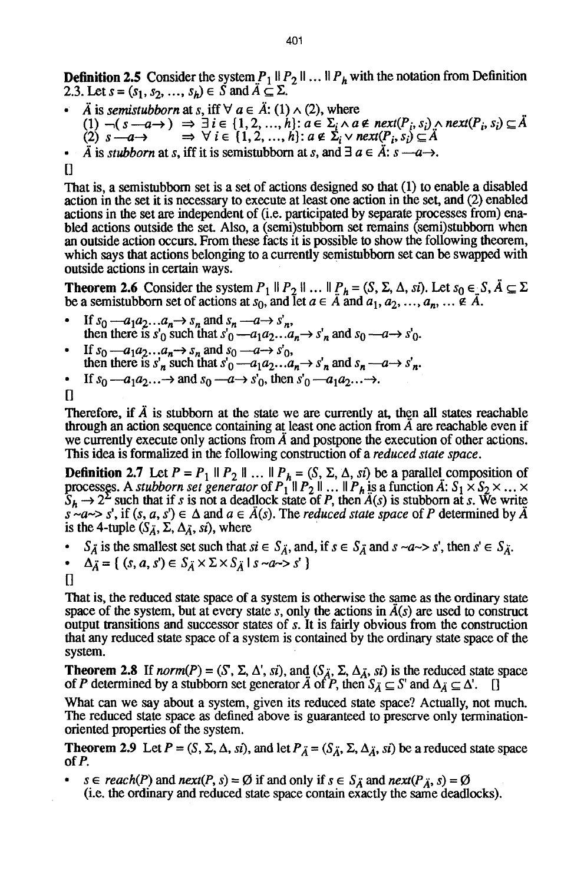**Definition 2.5** Consider the system  $P_1 \parallel P_2 \parallel ... \parallel P_h$  with the notation from Definition 2.3. Let  $s = (s_1, s_2, ..., s_h) \in S$  and  $A \subseteq \Sigma$ .

- $\ddot{A}$  is *semistubborn* at *s*, iff  $\forall a \in \ddot{A}$ : (1)  $\land$  (2), where  $(1) \neg (s-a \rightarrow) \Rightarrow \exists i \in \{1,2, ..., h\}: a \in \Sigma_i \land a \notin next(P_i, s_i) \land next(P_i, s_i) \subseteq A$  $(2)$   $s \rightarrow 0 \rightarrow \forall i \in \{1, 2, ..., h\}: a \notin \Sigma_i \vee \textit{next}(P_i, s_i) \subseteq A$
- $\ddot{A}$  is *stubborn* at *s*, iff it is semistubborn at *s*, and  $\exists a \in \ddot{A}$ :  $s \rightarrow a \rightarrow a$ .

 $\prod$ 

That is, a semistubborn set is a set of actions designed so that (1) to enable a disabled action in the set it is necessary to execute at least one action in the set, and (2) enabled actions in the set are independent of (i.e. participated by separate processes from) enabled actions outside the set. Also, a (semi)stubborn set remains (semi)stubborn when an outside action occurs. From these facts it is possible to show the following theorem, which says that actions belonging to a currently semistubborn set can be swapped with outside actions in certain ways.

**Theorem 2.6** Consider the system  $P_1 \parallel P_2 \parallel ... \parallel P_h = (S, \Sigma, \Delta, \text{si}).$  Let  $s_0 \in S, A \subseteq \Sigma$ be a semistubborn set of actions at  $s_0$ , and let  $a \in A$  and  $a_1, a_2, ..., a_n, ... \notin A$ .

- $\bullet$  If  $s_0 a_1 a_2 \dots a_n \rightarrow s_n$  and  $s_n a \rightarrow s'_n$ , then there is  $s'_0$  such that  $s'_0$  --a<sub>1</sub>a<sub>2</sub>...a<sub>n</sub> $\rightarrow$   $s'_n$  and  $s_0$  --a- $\rightarrow$   $s'_0$ .
- $\cdot$  If  $s_0 a_1 a_2 \dots a_n \rightarrow s_n$  and  $s_0 a \rightarrow s'_0$ , then there is  $s'_n$  such that  $s'_0 = a_1 a_2 \dots a_n \rightarrow s'_n$  and  $s_n = a \rightarrow s'_n$ .

• If 
$$
s_0
$$
— $a_1a_2...$ → and  $s_0$ — $a \rightarrow s'_0$ , then  $s'_0$ — $a_1a_2...$ →.

 $\mathsf{u}$ 

Therefore, if  $\ddot{A}$  is stubborn at the state we are currently at, then all states reachable through an action sequence containing at least one action from  $\hat{A}$  are reachable even if we currently execute only actions from  $\tilde{A}$  and postpone the execution of other actions. This idea is formalized in the following construction of a *reduced state space.* 

**Definition 2.7** Let  $P = P_1 \parallel P_2 \parallel ... \parallel P_h = (S, \Sigma, \Delta, si)$  be a parallel composition of processes. A *stubborn set generator* of  $P_1 \parallel P_2 \parallel ... \parallel P_h$  is a function A:  $S_1 \times S_2 \times ... \times P_h$  $S_h \rightarrow 2^2$  such that if s is not a deadlock state of P, then  $A(s)$  is stubborn at s. We write  $s \sim a \sim s'$ , if  $(s, a, s') \in \Delta$  and  $a \in \mathring{A}(s)$ . The *reduced state space* of P determined by  $\mathring{A}$ is the 4-tuple  $(S_{\tilde{A}}, \Sigma, \Delta_{\tilde{A}}, s_i)$ , where

 $S_{\vec{A}}$  is the smallest set such that  $si \in S_{\vec{A}}$ , and, if  $s \in S_{\vec{A}}$  and  $s \sim a \sim s'$ , then  $s' \in S_{\vec{A}}$ .

• 
$$
\Delta_{\vec{A}} = \{ (s, a, s') \in S_{\vec{A}} \times \Sigma \times S_{\vec{A}} \mid s \sim a \rightarrow s' \}
$$

That is, the reduced state space of a system is otherwise the same as the ordinary state space of the system, but at every state s, only the actions in  $\tilde{A}(s)$  are used to construct output transitions and successor states of s. It is fairly obvious from the construction that any reduced slate space of a system is contained by the ordinary state space of the system.

**Theorem 2.8** If *norm*(P) = (S',  $\Sigma$ ,  $\Delta'$ , si), and ( $S_{\overline{A}}$ ,  $\Sigma$ ,  $\Delta_{\overline{A}}$ , si) is the reduced state space of P determined by a stubborn set generator A of P, then  $S_{\mathcal{A}} \subseteq S'$  and  $\Delta_{\mathcal{A}} \subseteq \Delta'$ .

What can we say about a system, given its reduced slate space? Actually, not much. The reduced state space as defined above is guaranteed to preserve only terminationoriented properties of the system.

**Theorem 2.9** Let  $P = (S, \Sigma, \Delta, s\hat{i})$ , and let  $P_{\vec{A}} = (S_{\vec{A}}, \Sigma, \Delta_{\vec{A}}, s\hat{i})$  be a reduced state space of P.

 $s \in reach(P)$  and  $next(P, s) = \emptyset$  if and only if  $s \in S_{\tilde{A}}$  and  $next(P_{\tilde{A}}, s) = \emptyset$ (i.e. the ordinary and reduced state space contain exactly the same deadlocks).

 $\prod$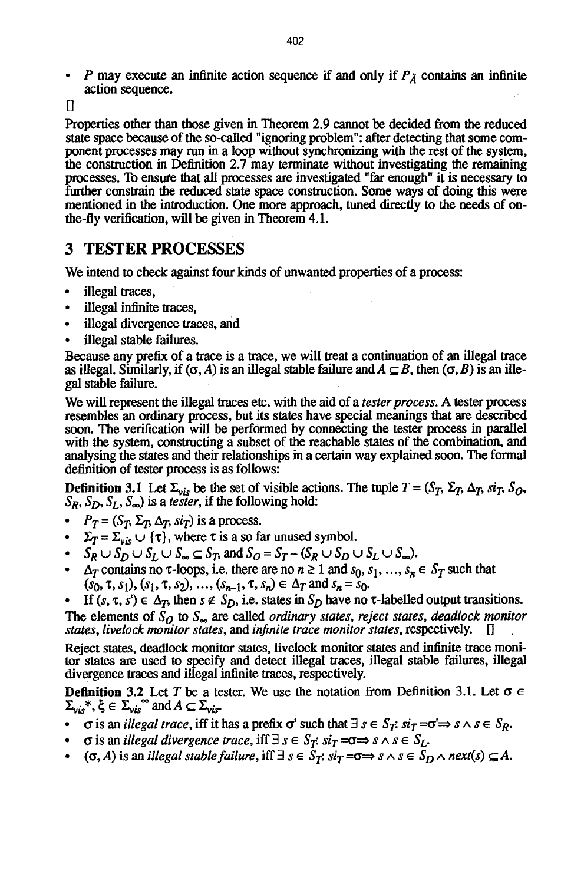P may execute an infinite action sequence if and only if  $P_{\lambda}$  contains an infinite action sequence.

 $\Box$ 

Properties other than those given in Theorem 2.9 cannot be decided from the reduced state space because of the so-ealled "ignoring problem": after detecting that some component processes may run in a loop without synchronizing with the rest of the system, the construction in Definition 2.7 may terminate without investigating the remaining processes. To ensure that all processes are investigated "far enough" it is necessary to further constrain the reduced state space construction. Some ways of doing this were mentioned in the introduction. One more approach, tuned directly to the needs of onthe-fly verification, will be given in Theorem 4.1.

## **3 TESTER PROCESSES**

We intend to check against four kinds of unwanted properties of a process:

- illegal traces,
- illegal infinite traces,
- illegal divergence traces, and
- illegal stable failures.

Because any prefix of a trace is a trace, we will treat a continuation of an illegal trace as illegal. Similarly, if  $(\sigma, A)$  is an illegal stable failure and  $A \subseteq B$ , then  $(\sigma, B)$  is an illegal stable failure.

We will represent the illegal traces etc. with the aid of a *tester process*. A tester process resembles an ordinary process, but its states have special meanings that are described soon. The verification will be performed by connecting the tester process in parallel with the system, constructing a subset of the reachable states of the combination, and analysing the states and their relationships in a certain way explained soon. The formal definition of tester process is as follows:

**Definition 3.1** Let  $\Sigma_{vis}$  be the set of visible actions. The tuple  $T = (S_T, \Sigma_T, \Delta_T, \overline{si_T}, S_O, \overline{si_T}, \overline{si_T}, \overline{si_T}, \overline{si_T}, \overline{si_T}, \overline{si_T}, \overline{si_T}, \overline{si_T}, \overline{si_T}, \overline{si_T}, \overline{si_T}, \overline{si_T}, \overline{si_T}, \overline{si_T}, \overline{si_T}, \overline{si_T}, \overline{si_T}, \overline{si_T},$  $S_R$ ,  $S_D$ ,  $S_L$ ,  $S_{\infty}$ ) is a *tester*, if the following hold:

- $P_T = (S_T, \Sigma_T, \Delta_T, si_T)$  is a process.
- $\Sigma_T = \Sigma_{vis} \cup {\tau}$ , where  $\tau$  is a so far unused symbol.
- $S_R \cup S_D \cup S_L \cup S_\infty \subseteq S_T$ , and  $S_O = S_T (S_R \cup S_D \cup S_L \cup S_\infty)$ .
- **9**  $\Delta_T$  contains no  $\tau$ -loops, i.e. there are no  $n \geq 1$  and  $s_0, s_1, ..., s_n \in S_T$  such that  $(s_0, \tau, s_1), (s_1, \tau, s_2), ..., (s_{n-1}, \tau, s_n) \in \Delta_T$  and  $s_n = s_0$ .

If  $(s, \tau, s') \in \Delta_T$ , then  $s \notin S_D$ , i.e. states in  $S_D$  have no  $\tau$ -labelled output transitions. The elements of  $\bar{S}_0$  to  $S_{\infty}$  are called *ordinary states, reject states, deadlock monitor states, livelock monitor states, and infinite trace monitor states, respectively.*  $\Box$ 

Reject states, deadlock monitor states, livelock monitor states and infinite trace monitor states are used to specify and detect illegal traces, illegal stable failures, illegal divergence traces and illegal infinite traces, respectively.

**Definition 3.2** Let T be a tester. We use the notation from Definition 3.1. Let  $\sigma$  $\Sigma_{\text{vis}}^*$ ,  $\xi \in \Sigma_{\text{vis}}^{\text{se}}$  and  $A \subseteq \Sigma_{\text{vis}}$ .

- **9** (*risan illegal trace, iff it has a prefix*  $\sigma'$  *such that*  $\exists s \in S_T$ *:*  $si_T = \sigma' \Rightarrow s \land s \in S_R$ *.*
- $\sigma$  is an *illegal divergence trace*, iff  $\exists s \in S_T$ :  $si_T = \sigma \Rightarrow s \land s \in S_L$ .
- $\bullet$  ( $\sigma$ , A) is an *illegal stable failure*, iff  $\exists s \in S_T$ :  $si_T = \sigma \Rightarrow s \land s \in S_D \land next(s) \subseteq A$ .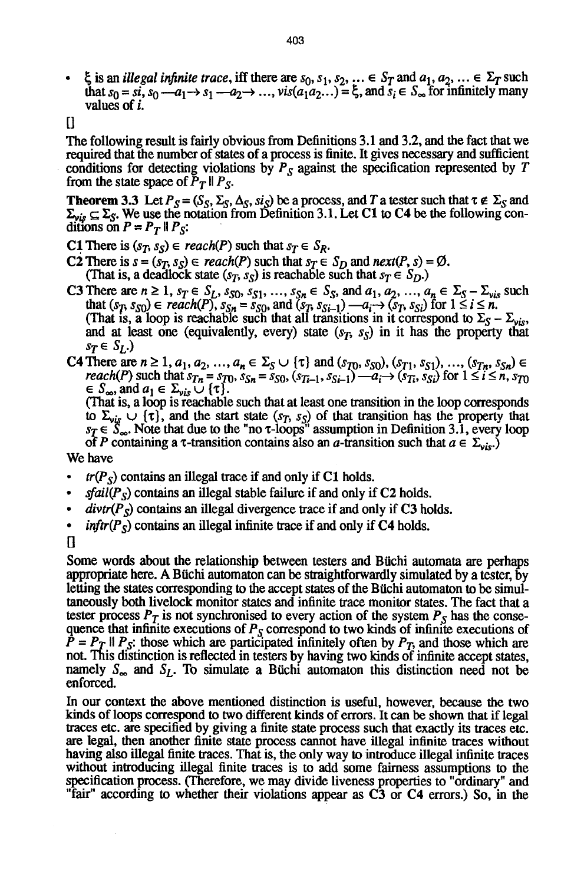- $\bullet$   $\xi$  is an *illegal infinite trace*, iff there are  $s_0, s_1, s_2, \ldots \in S_T$  and  $a_1, a_2, \ldots \in \Sigma_T$  such that  $s_0 = si$ ,  $s_0 = a_1 \rightarrow s_1 \rightarrow a_2 \rightarrow \dots$ ,  $vis(a_1 a_2 \dots) = \xi$ , and  $s_i \in S_\infty$  for infinitely many values of i.
- $\prod$

The following resuk is fairly obvious from Definitions 3.1 and 3.2, and the fact that we required that the number of states of a process is finite. It gives necessary and sufficient conditions for detecting violations by  $P<sub>S</sub>$  against the specification represented by T from the state space of  $\overline{P}_T \parallel P_S$ .

**Theorem 3.3** Let  $P_S = (S_S, \Sigma_S, \Delta_S, \text{sig})$  be a process, and T a tester such that  $\tau \notin \Sigma_S$  and  $\Sigma_{vis} \subseteq \Sigma_S$ . We use the notation from Definition 3.1. Let C1 to C4 be the following conditions on  $P = P_T \parallel P_S$ :

- C1 There is  $(s_T, s_S) \in reach(P)$  such that  $s_T \in S_R$ .
- C2 There is  $s = (s_T, s_S) \in reach(P)$  such that  $s_T \in S_D$  and  $next(P, s) = \emptyset$ . (That is, a deadlock state  $(s_T, s_S)$  is reachable such that  $s_T \in S_D$ .)
- **C3** There are  $n \ge 1$ ,  $s_T \in S_L$ ,  $s_{S0}$ ,  $s_{S1}$ , ...,  $s_{Sn} \in S_S$ , and  $a_1, a_2, ..., a_n \in S_S \Sigma_{vis}$  such that  $(s_T, s_{S0}) \in reach(P)$ ,  $s_{Sn} = s_{S0}$ , and  $(s_T, s_{Si-1}) -a_i \rightarrow (s_T, s_{Si})$  for  $1 \le i \le n$ . (That is, a loop is reachable such that all transitions in it correspond to  $\Sigma_S - \Sigma_{vis}$ , and at least one (equivalently, every) state  $(s_T, s_S)$  in it has the property that  $s_T \in S_I$ .)
- C4 There are  $n \ge 1$ ,  $a_1, a_2, ..., a_n \in \Sigma_S \cup \{ \tau \}$  and  $(s_{T_0}, s_{S_0}), (s_{T_1}, s_{S_1}), ..., (s_{T_n}, s_{S_n})$ *reach(P)* such that  $s_{Tn} = s_{T0}$ ,  $s_{Sn} = s_{S0}$ ,  $(s_{Ti-1}, s_{Si-1}) - a_i \rightarrow (s_{Ti}, s_{Si})$  for  $1 \le i \le n$ ,  $s_{T0}$  $\in S_{\infty}$ , and  $a_1 \in \Sigma_{\nu i s} \cup {\tau}.$

(That is, a loop is reachable such that at least one transition in the loop corresponds to  $\Sigma_{vis} \cup \{\tau\}$ , and the start state  $(s_T, s_S)$  of that transition has the property that  $s_T \in S_{\infty}$ . Note that due to the "no  $\tau$ -loops" assumption in Definition 3.1, every loop of P containing a  $\tau$ -transition contains also an a-transition such that  $a \in \Sigma_{\nu|S}$ .

We have

- $tr(P<sub>S</sub>)$  contains an illegal trace if and only if C1 holds.
- *9 sfail(Ps)* contains an illegal stable failure if and only if C2 holds.
- $divtr(P<sub>S</sub>)$  contains an illegal divergence trace if and only if C3 holds.
- *inftr(P<sub>S</sub>)* contains an illegal infinite trace if and only if C4 holds.
- $\overline{\mathbf{u}}$

Some words about the relationship between testers and Btichi automata are perhaps appropriate here. A Büchi automaton can be straightforwardly simulated by a tester, by letting the states corresponding to the accept states of the Buchi automaton to be simultaneously both livelock monitor states and infinite trace monitor states. The fact that a tester process  $P_T$  is not synchronised to every action of the system  $P_S$  has the consequence that infinite executions of *Ps* correspond to two kinds of infinite executions of  $P = P_T$  If  $P_S$ : those which are participated infinitely often by  $P_T$ , and those which are not. This distinction is reflected in testers by having two kinds of infinite accept states, namely  $S_{\infty}$  and  $S_{L}$ . To simulate a Büchi automaton this distinction need not be enforced.

In our context the above mentioned distinction is useful, however, because the two kinds of loops correspond to two different kinds of errors. It can be shown that if legal traces etc. are specified by giving a finite state process such that exactly its traces etc. are legal, then another finite state process cannot have illegal infinite traces without having also illegal finite traces. That is, the only way to introduce illegal infinite traces without introducing illegal finite traces is to add some fairness assumptions to the specification process. (Therefore, we may divide liveness properties to "ordinary" and "fair" according to whether their violations appear as C3 or C4 errors.) So, in the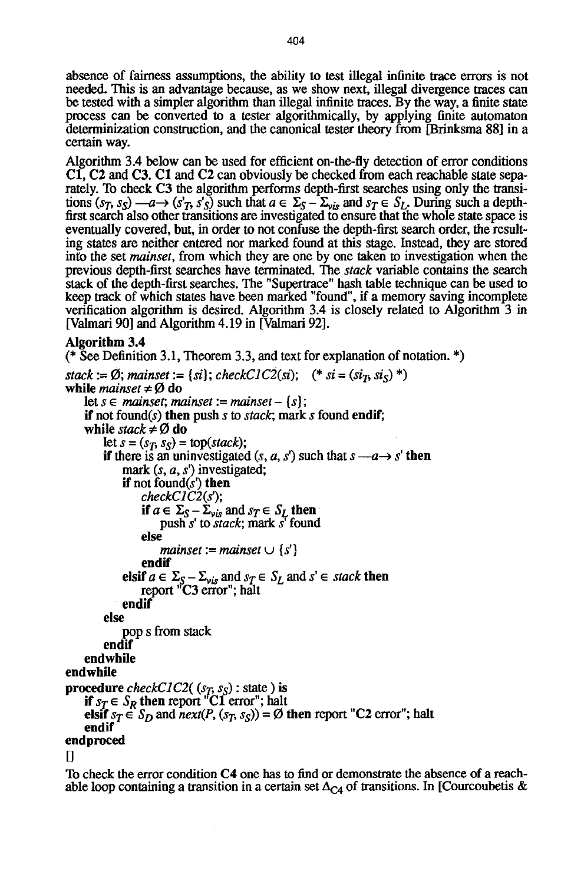absence of fairness assumptions, the ability to test illegal infinite trace errors is not needed. This is an advantage because, as we show next, illegal divergence traces can be tested with a simpler algorithm than illegal infinite traces. By the way, a finite state process can be converted to a tester algorithmically, by applying finite automaton determinization construction, and the canonical tester theory from [Brinksma 88] in a certain way.

Algorithm 3.4 below can be used for efficient on-the-fly detection of error conditions C1, C2 and C3. C1 and C2 can obviously be checked from each reachable state separately. To check C3 the algorithm performs depth-first searches using only the transitions  $(s_T, s_S) \rightarrow a \rightarrow (s'_T, s'_S)$  such that  $a \in \Sigma_S - \Sigma_{vis}$  and  $s_T \in S_L$ . During such a depthfirst search also other transitions are investigated to ensure that the whole state space is eventually covered, but, in order to not confuse the depth-first search order, the resulting states are neither entered nor marked found at this stage. Instead, they are stored into the set *mainset,* from which they are one by one taken to investigation when the previous depth-first searches have terminated. The *stack* variable contains the search stack of the depth-first searches. The "Supertrace" hash table technique can be used to keep track of which states have been marked "found", if a memory saving incomplete verification algorithm is desired. Algorithm 3.4 is closely related to Algorithm 3 in [Valmari 90] and Algorithm 4.19 in [Valmari 92].

#### **Algorithm 3.4**

```
(* See Definition 3.1, Theorem 3.3, and text for explanation of notation. *)
```

```
stack := \emptyset; mainset := {si}; checkC1C2(si); (* si = (s_i, s_i, s_i)*)
while mainset \neq \emptyset do
    let s \in mainset; mainset := mainset – {s};
    if not found(s) then push s to stack; mark s found endif; 
    while stack \neq \emptyset do
        let s = (s_T, s_S) = \text{top}(stack);if there is an uninvestigated (s, a, s') such that s \rightarrow s' then
             mark (s, a, s') investigated;
             if not found(s') then
                 checkCIC2(s3; 
                 if a \in \Sigma_S - \Sigma_{\nu i} and s_T \in S_L then
                     push s' to stack; mark s' found
                 else 
                     mainset := mainset \cup \{s'\}endif 
             elsif a \in \Sigma_S - \Sigma_{\nu i_S} and s_T \in S_L and s' \in stack then
                 report "C3 error"; halt 
             endif 
        else 
             pop s from stack 
        endif 
    endwhile 
endwhile 
procedure checkC1C2((s_T, s_S): state) is
    if s_T \in S_R then report "C1 error"; halt
    elsif s_T \in S_D and next(P, (s_T, s_S)) = \emptyset then report "C2 error"; halt
    endif 
endproced
```
 $\prod$ 

To check the error condition C4 one has to find or demonstrate the absence of a reachable loop containing a transition in a certain set  $\Delta_{C4}$  of transitions. In [Courcoubetis &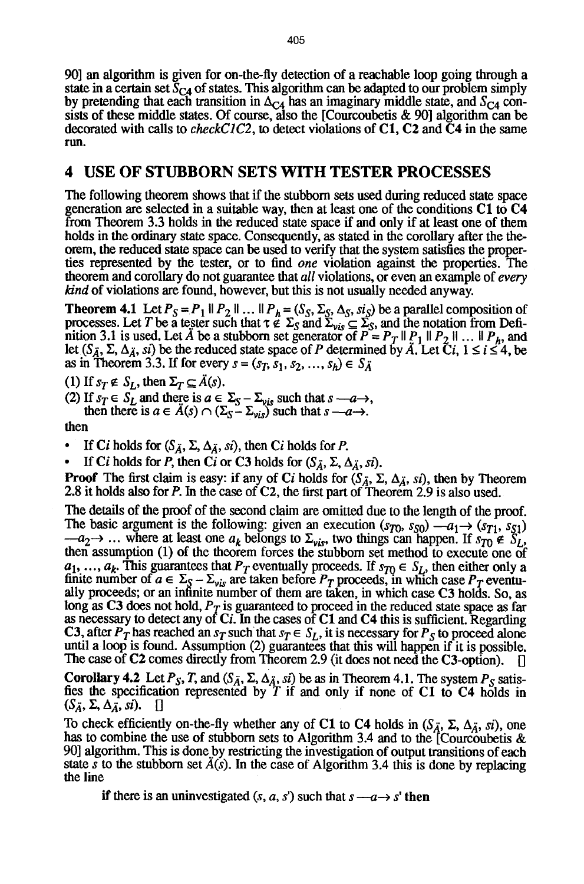90] an algorithm is given for on-the-fly detection of a reachable loop going through a state in a certain set  $S_{C4}$  of states. This algorithm can be adapted to our problem simply by pretending that each transition in  $\Delta_{C4}$  has an imaginary middle state, and  $S_{C4}$  consists of these middle states. Of course, also the [Courcoubetis & 90] algorithm can be decorated with calls to *checkCIC2, to* detect violations of C1, C2 and C4 in the same ran.

## **4 USE OF STUBBORN SETS WITH TESTER PROCESSES**

The following theorem shows that if the stubborn sets used during reduced state space generation are selected in a suitable way, then at least one of the conditions C1 to C4 from Theorem 3.3 holds in the reduced state space if and only if at least one of them holds in the ordinary state space. Consequently, as stated in the corollary after the theorem, the reduced state space can be used to verify that the system satisfies the properties represented by the tester, or to find *one* violation against the properties. The theorem and corollary do not guarantee that *all* violations, or even an example of *every kind* of violations are found, however, but this is not usually needed anyway.

**Theorem 4.1** Let  $P_S = P_1 \parallel P_2 \parallel ... \parallel P_h = (S_S, \Sigma_S, \Delta_S, si_S)$  be a parallel composition of processes. Let T be a tester such that  $\tau \notin \Sigma_S$  and  $\Sigma_{vis} \subseteq \Sigma_S$ , and the notation from Definition 3.1 is used. Let A be a stubborn set generator of  $P = P_T \parallel P_1 \parallel P_2 \parallel ... \parallel P_h$ , and let  $(S_{\tilde{A}}, \Sigma, \Delta_{\tilde{A}}, s_i)$  be the reduced state space of P determined by  $\tilde{A}$ . Let  $\tilde{C}i$ ,  $1 \le i \le 4$ , be as in Theorem 3.3. If for every  $s = (s_T, s_1, s_2, ..., s_h) \in S_{\tilde{A}}$ 

(1) If  $s_T \notin S_L$ , then  $\Sigma_T \subseteq \tilde{A}(s)$ .

(2) If  $s_T \in S_L$  and there is  $a \in \Sigma_S - \Sigma_{vis}$  such that  $s \rightarrow a \rightarrow$ ,

then there is  $a \in A(s) \cap (\Sigma_s - \Sigma_{vis})$  such that  $s \rightarrow a \rightarrow$ .

then

If Ci holds for  $(S_{\tilde{A}}, \Sigma, \Delta_{\tilde{A}}, s_i)$ , then Ci holds for P.

If Ci holds for P, then Ci or C3 holds for  $(S_{\tilde{A}}, \Sigma, \Delta_{\tilde{A}}, s_i)$ .

**Proof** The first claim is easy: if any of Ci holds for  $(S_{\tilde{A}}, \Sigma, \Delta_{\tilde{A}}, s_i)$ , then by Theorem 2.8 it holds also for P. In the case of C2, the first part of Theorem 2.9 is also used.

The details of the proof of the second claim are omitted due to the length of the proof. The basic argument is the following: given an execution  $(s_{T_0}, s_{S_0}) -a_1 \rightarrow (s_{T_1}, s_{S_1})$  $-a_2 \rightarrow \ldots$  where at least one  $a_k$  belongs to  $\Sigma_{vis}$ , two things can happen. If  $s_{T_0} \notin S_L$ , then assumption (1) of the theorem forces the stubborn set method to execute one of  $a_1, ..., a_k$ . This guarantees that  $P_T$  eventually proceeds. If  $s_{T0} \in S_L$ , then either only a finite number of  $a \in \Sigma_S - \Sigma_{vis}$  are taken before  $P_T$  proceeds, in which case  $P_T$  eventually proceeds; or an infinite number of them are taken, in which case C3 holds. So, as long as C3 does not hold,  $P_T$  is guaranteed to proceed in the reduced state space as far as necessary to detect any of  $Ci$ . In the cases of C1 and C4 this is sufficient. Regarding C3, after  $P_T$  has reached an  $s_T$  such that  $s_T \in S_L$ , it is necessary for  $P_S$  to proceed alone until a loop is found. Assumption (2) guarantees that this will happen if it is possible. The case of C2 comes directly from Theorem 2.9 (it does not need the C3-option).

Corollary 4.2 Let  $P_S$ , T, and  $(S_A, \Sigma, \Delta_A, s)$  be as in Theorem 4.1. The system  $P_S$  satisfies the specification represented by T if and only if none of C1 to C4 holds in  $(S_{\tilde{A}}, \Sigma, \Delta_{\tilde{A}}, s_i)$ . []

To check efficiently on-the-fly whether any of C1 to C4 holds in  $(S_{\tilde{A}}, \Sigma, \Delta_{\tilde{A}}, s_i)$ , one has to combine the use of stubborn sets to Algorithm 3.4 and to the [Courcoubetis & 90] algorithm. This is done by restricting the investigation of output transitions of each state s to the stubborn set  $\hat{A}(s)$ . In the case of Algorithm 3.4 this is done by replacing the line

if there is an uninvestigated  $(s, a, s')$  such that  $s \rightarrow a \rightarrow s'$  then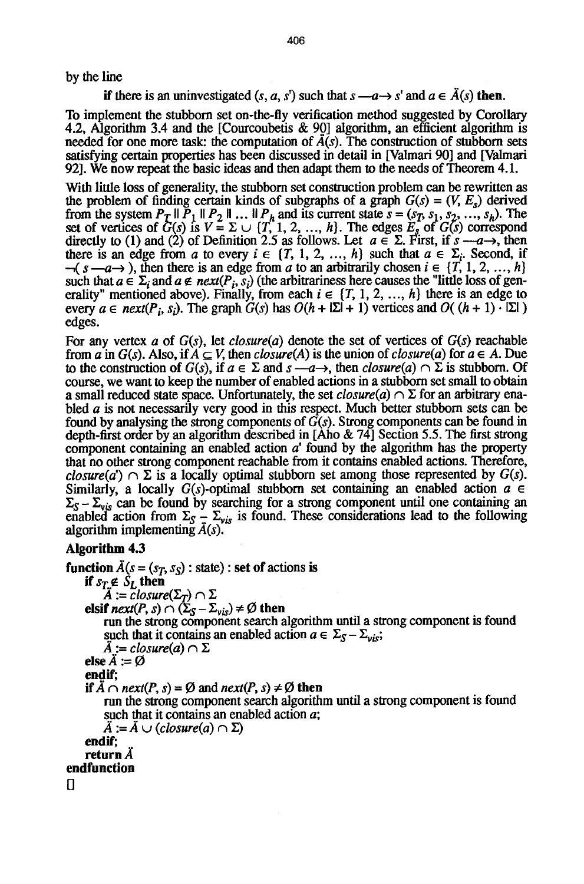by the line

**if** there is an uninvestigated  $(s, a, s')$  such that  $s \rightarrow a \rightarrow s'$  and  $a \in \hat{A}(s)$  then.

To implement the stubborn set on-the-fly verification method suggested by Corollary 4.2, Algorithm 3.4 and the [Courcoubetis & 90] algorithm, an efficient algorithm is needed for one more task: the computation of  $\ddot{A}(s)$ . The construction of stubborn sets satisfying certain properties has been discussed in detail in [Valmari 90] and [Valmari 92]. We now repeat the basic ideas and then adapt them to the needs of Theorem 4.1.

With little loss of generality, the stubborn set construction problem can be rewritten as the problem of finding certain kinds of subgraphs of a graph  $G(s) = (V, E_s)$  derived from the system  $P_T \parallel P_1 \parallel P_2 \parallel ... \parallel P_h$  and its current state  $s = (s_T, s_1, s_2, ..., s_h)$ . The set of vertices of  $G(s)$  is  $V = \Sigma \cup \{T, 1, 2, ..., h\}$ . The edges  $E_s$  of  $G(s)$  correspond directly to (1) and (2) of Definition 2.5 as follows. Let  $a \in \Sigma$ . First, if  $s \rightarrow a \rightarrow$ , then there is an edge from a to every  $i \in \{T, 1, 2, ..., h\}$  such that  $a \in \Sigma_i$ . Second, if  $\neg(s \rightarrow a \rightarrow s)$ , then there is an edge from a to an arbitrarily chosen  $i \in \{T, 1, 2, ..., h\}$ such that  $a \in \Sigma_i$  and  $a \notin next(P_i, s_i)$  (the arbitrariness here causes the "little loss of generality" mentioned above). Finally, from each  $i \in \{T, 1, 2, ..., h\}$  there is an edge to every  $a \in next(P_i, s_i)$ . The graph  $G(s)$  has  $O(h + |\Sigma| + 1)$  vertices and  $O((h + 1) \cdot |\Sigma|)$ edges.

For any vertex a of *G(s),* let *closure(a)* denote the set of vertices of *G(s)* reachable from *a* in  $G(s)$ . Also, if  $A \subseteq V$ , then *closure*(A) is the union of *closure*(*a*) for  $a \in A$ . Due to the construction of  $G(s)$ , if  $a \in \Sigma$  and  $s \longrightarrow$ , then *closure(a)*  $\cap \Sigma$  is stubborn. Of course, we want to keep the number of enabled actions in a stubborn set small to obtain a small reduced state space. Unfortunately, the set *closure(a)*  $\cap \Sigma$  for an arbitrary enabled a is not necessarily very good in this respect. Much better stubborn sets can be found by analysing the strong components of *G(s).* Strong components can be found in depth-first order by an algorithm described in [Aho &  $74$ ] Section 5.5. The first strong component containing an enabled action  $a<sup>i</sup>$  found by the algorithm has the property that no other strong component reachable from it contains enabled actions. Therefore, *closure(a')*  $\cap$   $\Sigma$  is a locally optimal stubborn set among those represented by *G(s)*. Similarly, a locally  $G(s)$ -optimal stubborn set containing an enabled action  $a \in$  $\Sigma_{S} - \Sigma_{vis}$  can be found by searching for a strong component until one containing an enabled action from  $\Sigma_{\rm S} - \Sigma_{\rm vis}$  is found. These considerations lead to the following algorithm implementing  $\vec{A}(s)$ .

### **Algorithm 4.3**

**function**  $\overline{A}(s = (s_T, s_S) : \text{state})$  : set of actions is **if**  $s_T \notin S_t$ , **then**  $\ddot{A} := \ddot{c}$ *losure* $(\Sigma_T) \cap \Sigma$ **elsif**  $next(P, s) \cap (\Sigma_S - \Sigma_{vis}) \neq \emptyset$  then run the strong component search algorithm until a strong component is found such that it contains an enabled action  $a \in \Sigma_S - \Sigma_{vis};$  $\overline{A}$  := closure(a)  $\cap \Sigma$ **else**  $\ddot{A} := \emptyset$ **endif;**  *if*  $\ddot{A} \cap next(P, s) = \emptyset$  and  $next(P, s) \neq \emptyset$  then run the strong component search algorithm until a strong component is found such that it contains an enabled action a;  $\overline{A} := \overline{A} \cup (closure(a) \cap \Sigma)$ **endif; return**  $\tilde{A}$ **endfunction**   $\mathbf \Pi$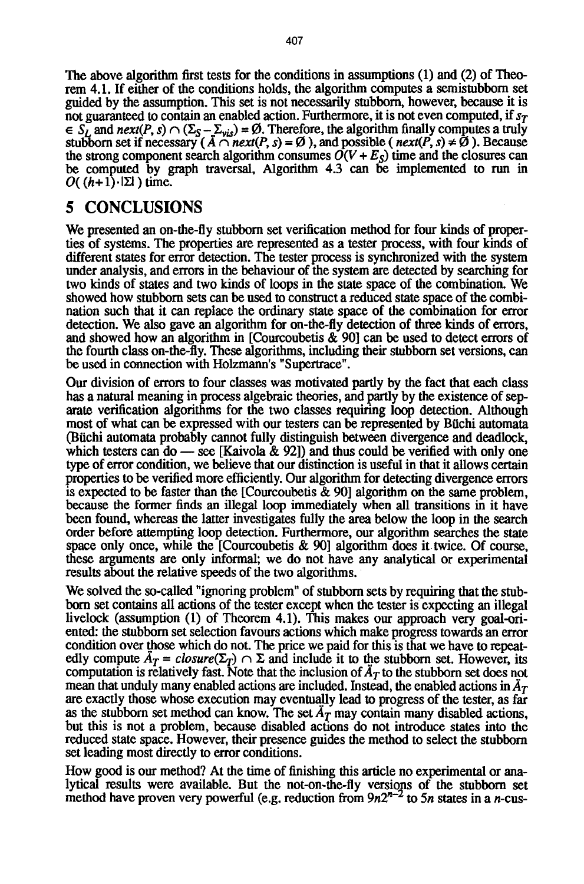The above algorithm first tests for the conditions in assumptions (1) and (2) of Theorem 4.1. If either of the conditions holds, the algorithm computes a semistubbom set guided by the assumption. This set is not necessarily stubborn, however, because it is not guaranteed to contain an enabled action. Furthermore, it is not even computed, if  $s_T$  $S_L$  and next(P, s)  $\cap$  ( $\Sigma_s - \Sigma_{vis}$ ) = Ø. Therefore, the algorithm finally computes a truly stubborn set if necessary  $(A \cap next(P, s) = \emptyset)$ , and possible  $(\textit{next}(P, s) \neq \emptyset)$ . Because the strong component search algorithm consumes  $\overline{O}(V + E_S)$  time and the closures can be computed by graph traversal, Algorithm 4.3 can be implemented to run in  $O((h+1)\cdot|\Sigma|)$  time.

## **5 CONCLUSIONS**

We presented an on-the-fly stubborn set verification method for four kinds of properties of systems. The properties are represented as a tester process, with four kinds of different states for error detection. The tester process is synchronized with the system under analysis, and errors in the behaviour of the system are detected by searching for two kinds of states and two kinds of loops in the state space of the combination. We showed how stubborn sets can be used to construct a reduced state space of the combination such that it can replace the ordinary state space of the combination for error detection. We also gave an algorithm for on-the-fly detection of three kinds of errors, and showed how an algorithm in [Courcoubetis & 90] can be used to detect errors of the fourth class on-the-fly. These algorithms, including their stubborn set versions, can be used in connection with Holzmann's "Supertrace".

Our division of errors to four classes was motivated partly by the fact that each class has a natural meaning in process algebraic theories, and partly by the existence of separate verification algorithms for the two classes requiring loop detection. Although most of what can be expressed with our testers can be represented by Biichi automata (Biichi automata probably cannot fully distinguish between divergence and deadlock, which testers can do — see [Kaivola  $\&$  92]) and thus could be verified with only one type of error condition, we believe that our distinction is useful in that it allows certain properties to be verified more efficiently. Our algorithm for detecting divergence errors is expected to be faster than the [Courcoubetis & 90] algorithm on the same problem, because the former finds an illegal loop immediately when all transitions in it have been found, whereas the latter investigates fully the area below the loop in the search order before attempting loop detection. Furthermore, our algorithm searches the state space only once, while the [Courcoubetis & 90] algorithm does it twice. Of course, these arguments are only informal; we do not have any analytical or experimental results about the relative speeds of the two algorithms.

We solved the so-called "ignoring problem" of stubborn sets by requiring that the stubborn set contains all actions of the tester except when the tester is expecting an illegal livelock (assumption (1) of Theorem 4.1). This makes our approach very goal-oriented: the stubborn set selection favours actions which make progress towards an error condition over those which do not. The price we paid for this is that we have to repeatedly compute  $\tilde{A}_T = closure(\Sigma_T) \cap \Sigma$  and include it to the stubborn set. However, its computation is relatively fast. Note that the inclusion of  $\tilde{A}_T$  to the stubborn set does not mean that unduly many enabled actions are included. Instead, the enabled actions in  $\tilde{A}_T$ are exactly those whose execution may eventually lead to progress of the tester, as far as the stubborn set method can know. The set  $A_T$  may contain many disabled actions, but this is not a problem, because disabled actions do not introduce states into the reduced state space. However, their presence guides the method to select the stubborn set leading most directly to error conditions.

How good is our method? At the time of finishing this article no experimental or analytical results were available. But the not-on-the-fly versions of the stubborn set method have proven very powerful (e.g. reduction from  $9n2^{n-2}$  to 5n states in a n-cus